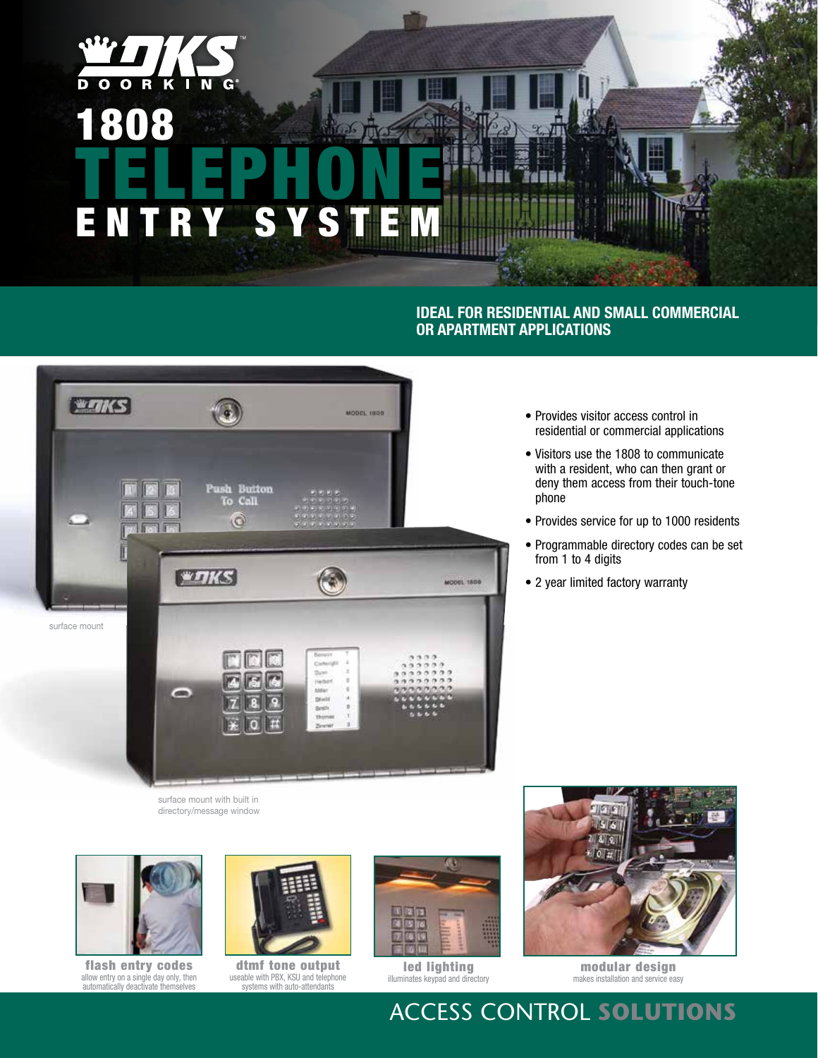## $\overline{R}$   $\overline{K}$  $\overline{\mathbf{D}}$  $\overline{\mathbf{o}}$  $\overline{\mathbf{o}}$  $\blacksquare$ **N** 1808 TELEPHONE ENTRY SYS

### **Ideal for residential and small commercial or apartment applications**



- Provides visitor access control in residential or commercial applications
- Visitors use the 1808 to communicate with a resident, who can then grant or deny them access from their touch-tone phone
- Provides service for up to 1000 residents
- Programmable directory codes can be set from 1 to 4 digits
- 2 year limited factory warranty

surface mount with built in directory/message window



flash entry codes allow entry on a single day only, then automatically deactivate themselves



dtmf tone output useable with PBX, KSU and telephone systems with auto-attendants



led lighting illuminates keypad and directory



modular design makes installation and service easy

# Access Control **Solutions**